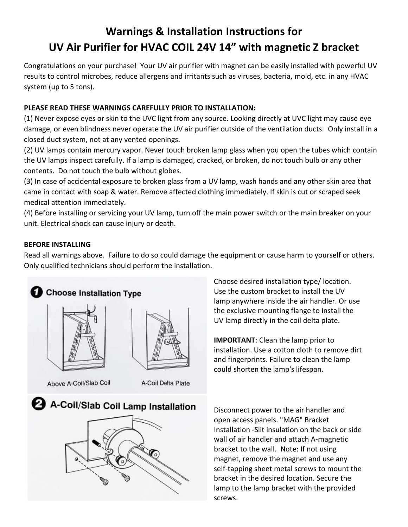# **Warnings & Installation Instructions for UV Air Purifier for HVAC COIL 24V 14" with magnetic Z bracket**

Congratulations on your purchase! Your UV air purifier with magnet can be easily installed with powerful UV results to control microbes, reduce allergens and irritants such as viruses, bacteria, mold, etc. in any HVAC system (up to 5 tons).

## **PLEASE READ THESE WARNINGS CAREFULLY PRIOR TO INSTALLATION:**

(1) Never expose eyes or skin to the UVC light from any source. Looking directly at UVC light may cause eye damage, or even blindness never operate the UV air purifier outside of the ventilation ducts. Only install in a closed duct system, not at any vented openings.

(2) UV lamps contain mercury vapor. Never touch broken lamp glass when you open the tubes which contain the UV lamps inspect carefully. If a lamp is damaged, cracked, or broken, do not touch bulb or any other contents. Do not touch the bulb without globes.

(3) In case of accidental exposure to broken glass from a UV lamp, wash hands and any other skin area that came in contact with soap & water. Remove affected clothing immediately. If skin is cut or scraped seek medical attention immediately.

(4) Before installing or servicing your UV lamp, turn off the main power switch or the main breaker on your unit. Electrical shock can cause injury or death.

### **BEFORE INSTALLING**

Read all warnings above. Failure to do so could damage the equipment or cause harm to yourself or others. Only qualified technicians should perform the installation.



Choose desired installation type/ location. Use the custom bracket to install the UV lamp anywhere inside the air handler. Or use the exclusive mounting flange to install the UV lamp directly in the coil delta plate.

**IMPORTANT**: Clean the lamp prior to installation. Use a cotton cloth to remove dirt and fingerprints. Failure to clean the lamp could shorten the lamp's lifespan.

Disconnect power to the air handler and open access panels. "MAG" Bracket Installation -Slit insulation on the back or side wall of air handler and attach A-magnetic bracket to the wall. Note: If not using magnet, remove the magnet and use any self-tapping sheet metal screws to mount the bracket in the desired location. Secure the lamp to the lamp bracket with the provided screws.